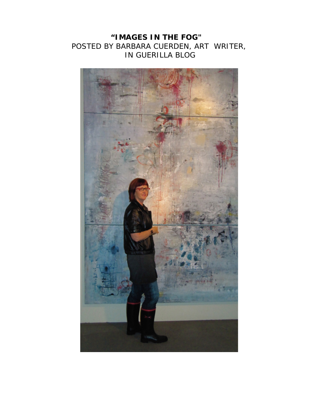## **"IMAGES IN THE FOG"**  POSTED BY BARBARA CUERDEN, ART WRITER, IN GUERILLA BLOG